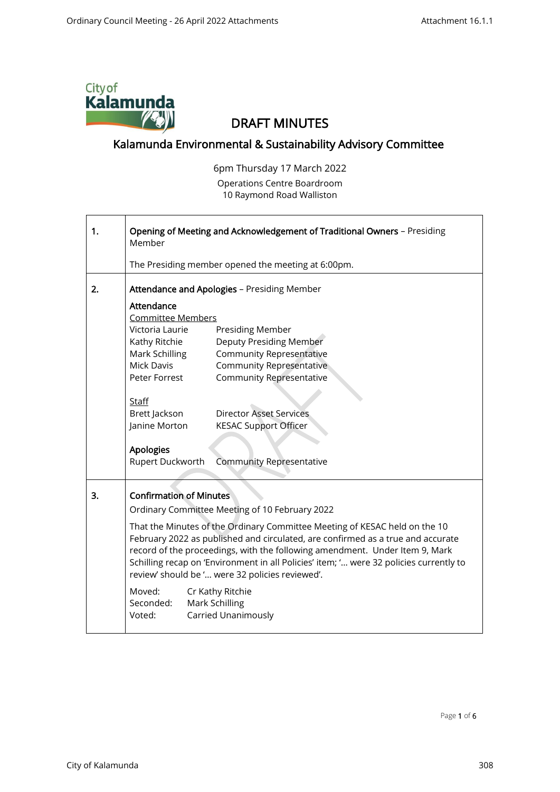

## DRAFT MINUTES

## Kalamunda Environmental & Sustainability Advisory Committee

 6pm Thursday 17 March 2022 Operations Centre Boardroom 10 Raymond Road Walliston

| 1. | Opening of Meeting and Acknowledgement of Traditional Owners - Presiding<br>Member                                                                                                                                                                                                                                                                                                                                                                                                                                                                                          |                                                                                                                                                      |
|----|-----------------------------------------------------------------------------------------------------------------------------------------------------------------------------------------------------------------------------------------------------------------------------------------------------------------------------------------------------------------------------------------------------------------------------------------------------------------------------------------------------------------------------------------------------------------------------|------------------------------------------------------------------------------------------------------------------------------------------------------|
|    |                                                                                                                                                                                                                                                                                                                                                                                                                                                                                                                                                                             | The Presiding member opened the meeting at 6:00pm.                                                                                                   |
| 2. | Attendance and Apologies - Presiding Member<br>Attendance<br><b>Committee Members</b>                                                                                                                                                                                                                                                                                                                                                                                                                                                                                       |                                                                                                                                                      |
|    | Victoria Laurie<br>Kathy Ritchie<br>Mark Schilling<br><b>Mick Davis</b><br>Peter Forrest                                                                                                                                                                                                                                                                                                                                                                                                                                                                                    | Presiding Member<br>Deputy Presiding Member<br><b>Community Representative</b><br><b>Community Representative</b><br><b>Community Representative</b> |
|    | <b>Staff</b><br>Brett Jackson<br>Janine Morton<br><b>Apologies</b><br>Rupert Duckworth                                                                                                                                                                                                                                                                                                                                                                                                                                                                                      | <b>Director Asset Services</b><br><b>KESAC Support Officer</b><br><b>Community Representative</b>                                                    |
| 3. | <b>Confirmation of Minutes</b><br>Ordinary Committee Meeting of 10 February 2022<br>That the Minutes of the Ordinary Committee Meeting of KESAC held on the 10<br>February 2022 as published and circulated, are confirmed as a true and accurate<br>record of the proceedings, with the following amendment. Under Item 9, Mark<br>Schilling recap on 'Environment in all Policies' item; ' were 32 policies currently to<br>review' should be ' were 32 policies reviewed'.<br>Moved:<br>Cr Kathy Ritchie<br>Mark Schilling<br>Seconded:<br>Carried Unanimously<br>Voted: |                                                                                                                                                      |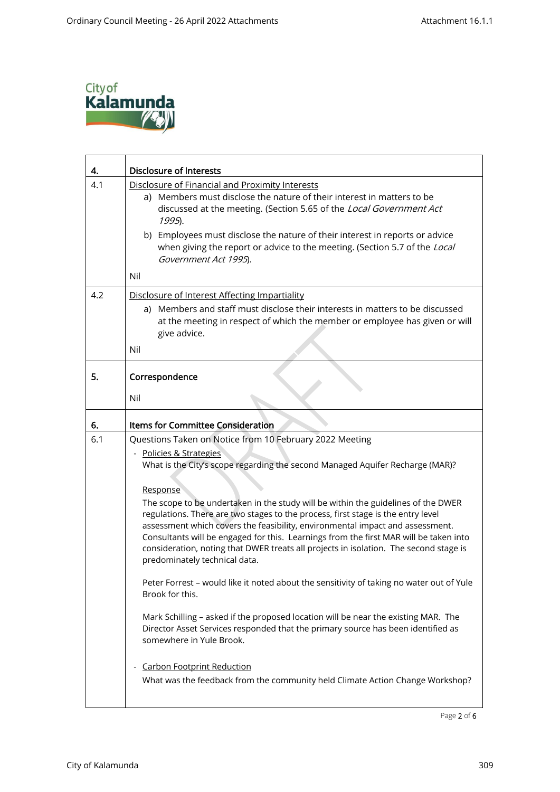

| 4.  | <b>Disclosure of Interests</b>                                                                                                                                                                                                                                                                                                                                                                                                                                                                                                                                                                                                                                                                                                                                                                                                                                                                                                                                                                                                                                                                                                      |  |  |  |
|-----|-------------------------------------------------------------------------------------------------------------------------------------------------------------------------------------------------------------------------------------------------------------------------------------------------------------------------------------------------------------------------------------------------------------------------------------------------------------------------------------------------------------------------------------------------------------------------------------------------------------------------------------------------------------------------------------------------------------------------------------------------------------------------------------------------------------------------------------------------------------------------------------------------------------------------------------------------------------------------------------------------------------------------------------------------------------------------------------------------------------------------------------|--|--|--|
| 4.1 | Disclosure of Financial and Proximity Interests<br>a) Members must disclose the nature of their interest in matters to be<br>discussed at the meeting. (Section 5.65 of the Local Government Act<br>1995).<br>b) Employees must disclose the nature of their interest in reports or advice<br>when giving the report or advice to the meeting. (Section 5.7 of the Local<br>Government Act 1995).<br>Nil                                                                                                                                                                                                                                                                                                                                                                                                                                                                                                                                                                                                                                                                                                                            |  |  |  |
| 4.2 | Disclosure of Interest Affecting Impartiality<br>a) Members and staff must disclose their interests in matters to be discussed<br>at the meeting in respect of which the member or employee has given or will<br>give advice.<br>Nil                                                                                                                                                                                                                                                                                                                                                                                                                                                                                                                                                                                                                                                                                                                                                                                                                                                                                                |  |  |  |
| 5.  | Correspondence<br>Nil                                                                                                                                                                                                                                                                                                                                                                                                                                                                                                                                                                                                                                                                                                                                                                                                                                                                                                                                                                                                                                                                                                               |  |  |  |
| 6.  | <b>Items for Committee Consideration</b>                                                                                                                                                                                                                                                                                                                                                                                                                                                                                                                                                                                                                                                                                                                                                                                                                                                                                                                                                                                                                                                                                            |  |  |  |
| 6.1 | Questions Taken on Notice from 10 February 2022 Meeting<br>- Policies & Strategies<br>What is the City's scope regarding the second Managed Aquifer Recharge (MAR)?<br>Response<br>The scope to be undertaken in the study will be within the guidelines of the DWER<br>regulations. There are two stages to the process, first stage is the entry level<br>assessment which covers the feasibility, environmental impact and assessment.<br>Consultants will be engaged for this. Learnings from the first MAR will be taken into<br>consideration, noting that DWER treats all projects in isolation. The second stage is<br>predominately technical data.<br>Peter Forrest - would like it noted about the sensitivity of taking no water out of Yule<br>Brook for this.<br>Mark Schilling - asked if the proposed location will be near the existing MAR. The<br>Director Asset Services responded that the primary source has been identified as<br>somewhere in Yule Brook.<br><b>Carbon Footprint Reduction</b><br>$\overline{\phantom{0}}$<br>What was the feedback from the community held Climate Action Change Workshop? |  |  |  |

Page 2 of 6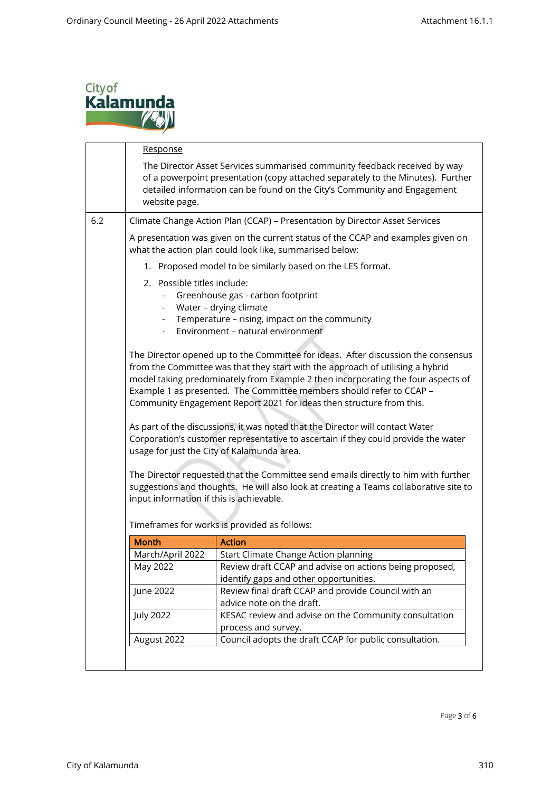

|  | Response                                                                                                                                                                                                                                                                                                                                                                                                                                                                                                                                                                                                                                                                                                                                                                                                         |                                                                                                                                                                                                                                          |  |
|--|------------------------------------------------------------------------------------------------------------------------------------------------------------------------------------------------------------------------------------------------------------------------------------------------------------------------------------------------------------------------------------------------------------------------------------------------------------------------------------------------------------------------------------------------------------------------------------------------------------------------------------------------------------------------------------------------------------------------------------------------------------------------------------------------------------------|------------------------------------------------------------------------------------------------------------------------------------------------------------------------------------------------------------------------------------------|--|
|  | website page.                                                                                                                                                                                                                                                                                                                                                                                                                                                                                                                                                                                                                                                                                                                                                                                                    | The Director Asset Services summarised community feedback received by way<br>of a powerpoint presentation (copy attached separately to the Minutes). Further<br>detailed information can be found on the City's Community and Engagement |  |
|  |                                                                                                                                                                                                                                                                                                                                                                                                                                                                                                                                                                                                                                                                                                                                                                                                                  | Climate Change Action Plan (CCAP) - Presentation by Director Asset Services                                                                                                                                                              |  |
|  | A presentation was given on the current status of the CCAP and examples given on<br>what the action plan could look like, summarised below:                                                                                                                                                                                                                                                                                                                                                                                                                                                                                                                                                                                                                                                                      |                                                                                                                                                                                                                                          |  |
|  |                                                                                                                                                                                                                                                                                                                                                                                                                                                                                                                                                                                                                                                                                                                                                                                                                  | 1. Proposed model to be similarly based on the LES format.                                                                                                                                                                               |  |
|  | 2. Possible titles include:<br>Greenhouse gas - carbon footprint<br>Water - drying climate<br>Temperature - rising, impact on the community<br>Environment - natural environment<br>The Director opened up to the Committee for ideas. After discussion the consensus<br>from the Committee was that they start with the approach of utilising a hybrid<br>model taking predominately from Example 2 then incorporating the four aspects of<br>Example 1 as presented. The Committee members should refer to CCAP -<br>Community Engagement Report 2021 for ideas then structure from this.<br>As part of the discussions, it was noted that the Director will contact Water<br>Corporation's customer representative to ascertain if they could provide the water<br>usage for just the City of Kalamunda area. |                                                                                                                                                                                                                                          |  |
|  |                                                                                                                                                                                                                                                                                                                                                                                                                                                                                                                                                                                                                                                                                                                                                                                                                  |                                                                                                                                                                                                                                          |  |
|  | input information if this is achievable.                                                                                                                                                                                                                                                                                                                                                                                                                                                                                                                                                                                                                                                                                                                                                                         | The Director requested that the Committee send emails directly to him with further<br>suggestions and thoughts. He will also look at creating a Teams collaborative site to<br>Timeframes for works is provided as follows:              |  |
|  | <b>Month</b>                                                                                                                                                                                                                                                                                                                                                                                                                                                                                                                                                                                                                                                                                                                                                                                                     | <b>Action</b>                                                                                                                                                                                                                            |  |
|  | March/April 2022                                                                                                                                                                                                                                                                                                                                                                                                                                                                                                                                                                                                                                                                                                                                                                                                 | Start Climate Change Action planning                                                                                                                                                                                                     |  |
|  | May 2022                                                                                                                                                                                                                                                                                                                                                                                                                                                                                                                                                                                                                                                                                                                                                                                                         | Review draft CCAP and advise on actions being proposed,<br>identify gaps and other opportunities.                                                                                                                                        |  |
|  | June 2022                                                                                                                                                                                                                                                                                                                                                                                                                                                                                                                                                                                                                                                                                                                                                                                                        | Review final draft CCAP and provide Council with an<br>advice note on the draft.                                                                                                                                                         |  |
|  | <b>July 2022</b>                                                                                                                                                                                                                                                                                                                                                                                                                                                                                                                                                                                                                                                                                                                                                                                                 | KESAC review and advise on the Community consultation<br>process and survey.                                                                                                                                                             |  |

Page 3 of 6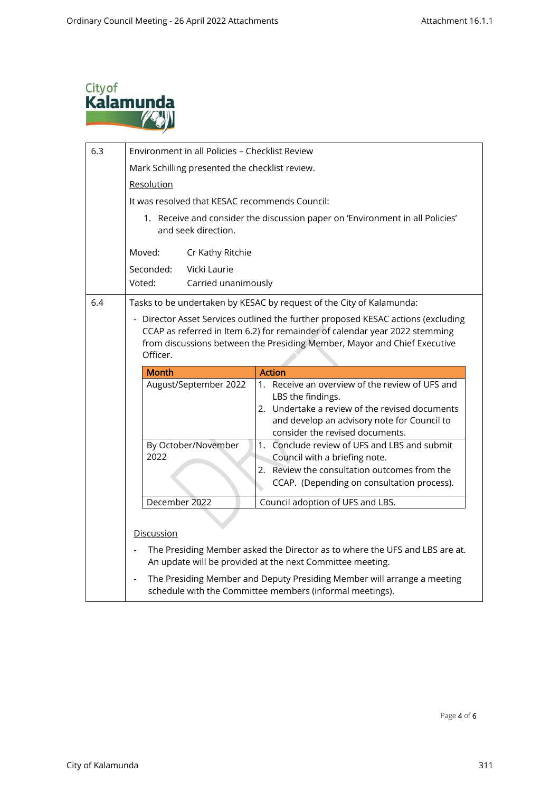

| 6.3 | Environment in all Policies - Checklist Review                                                                                                                                                                                                         |  |  |  |  |
|-----|--------------------------------------------------------------------------------------------------------------------------------------------------------------------------------------------------------------------------------------------------------|--|--|--|--|
|     | Mark Schilling presented the checklist review.                                                                                                                                                                                                         |  |  |  |  |
|     | Resolution                                                                                                                                                                                                                                             |  |  |  |  |
|     | It was resolved that KESAC recommends Council:                                                                                                                                                                                                         |  |  |  |  |
|     | 1. Receive and consider the discussion paper on 'Environment in all Policies'<br>and seek direction.                                                                                                                                                   |  |  |  |  |
|     | Moved:<br>Cr Kathy Ritchie                                                                                                                                                                                                                             |  |  |  |  |
|     | Seconded:<br>Vicki Laurie                                                                                                                                                                                                                              |  |  |  |  |
|     | Voted:<br>Carried unanimously                                                                                                                                                                                                                          |  |  |  |  |
| 6.4 | Tasks to be undertaken by KESAC by request of the City of Kalamunda:                                                                                                                                                                                   |  |  |  |  |
|     | - Director Asset Services outlined the further proposed KESAC actions (excluding<br>CCAP as referred in Item 6.2) for remainder of calendar year 2022 stemming<br>from discussions between the Presiding Member, Mayor and Chief Executive<br>Officer. |  |  |  |  |
|     | <b>Month</b><br><b>Action</b>                                                                                                                                                                                                                          |  |  |  |  |
|     | 1. Receive an overview of the review of UFS and<br>August/September 2022<br>LBS the findings.<br>2. Undertake a review of the revised documents<br>and develop an advisory note for Council to<br>consider the revised documents.                      |  |  |  |  |
|     | 1. Conclude review of UFS and LBS and submit<br>By October/November                                                                                                                                                                                    |  |  |  |  |
|     | 2022<br>Council with a briefing note.<br>Review the consultation outcomes from the<br>2.                                                                                                                                                               |  |  |  |  |
|     | CCAP. (Depending on consultation process).                                                                                                                                                                                                             |  |  |  |  |
|     | December 2022<br>Council adoption of UFS and LBS.                                                                                                                                                                                                      |  |  |  |  |
|     |                                                                                                                                                                                                                                                        |  |  |  |  |
|     | Discussion                                                                                                                                                                                                                                             |  |  |  |  |
|     | The Presiding Member asked the Director as to where the UFS and LBS are at.<br>An update will be provided at the next Committee meeting.                                                                                                               |  |  |  |  |
|     | The Presiding Member and Deputy Presiding Member will arrange a meeting<br>$\blacksquare$<br>schedule with the Committee members (informal meetings).                                                                                                  |  |  |  |  |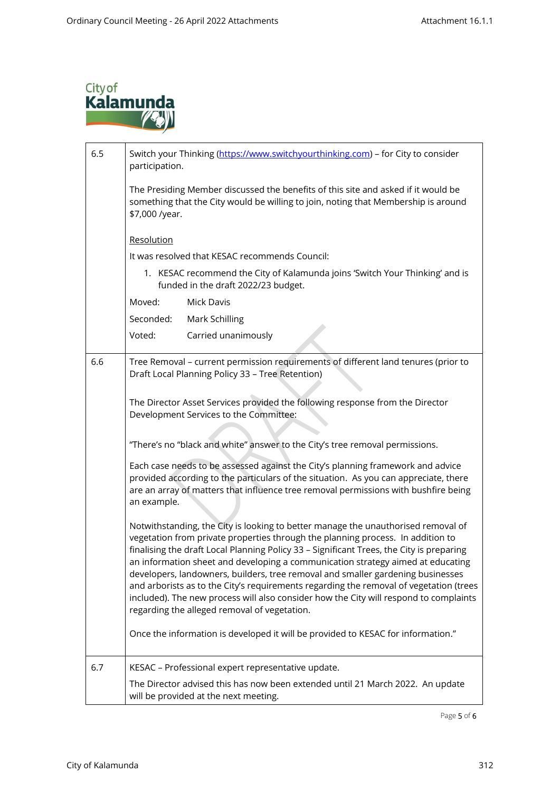

| 6.5 | Switch your Thinking (https://www.switchyourthinking.com) - for City to consider<br>participation.                                                                                                                                                                                                                                                                                                                                                                                                                                                                                                                                                                        |  |  |  |
|-----|---------------------------------------------------------------------------------------------------------------------------------------------------------------------------------------------------------------------------------------------------------------------------------------------------------------------------------------------------------------------------------------------------------------------------------------------------------------------------------------------------------------------------------------------------------------------------------------------------------------------------------------------------------------------------|--|--|--|
|     | The Presiding Member discussed the benefits of this site and asked if it would be<br>something that the City would be willing to join, noting that Membership is around<br>\$7,000 /year.                                                                                                                                                                                                                                                                                                                                                                                                                                                                                 |  |  |  |
|     | Resolution                                                                                                                                                                                                                                                                                                                                                                                                                                                                                                                                                                                                                                                                |  |  |  |
|     | It was resolved that KESAC recommends Council:                                                                                                                                                                                                                                                                                                                                                                                                                                                                                                                                                                                                                            |  |  |  |
|     | 1. KESAC recommend the City of Kalamunda joins 'Switch Your Thinking' and is<br>funded in the draft 2022/23 budget.                                                                                                                                                                                                                                                                                                                                                                                                                                                                                                                                                       |  |  |  |
|     | Moved:<br><b>Mick Davis</b>                                                                                                                                                                                                                                                                                                                                                                                                                                                                                                                                                                                                                                               |  |  |  |
|     | Seconded:<br>Mark Schilling                                                                                                                                                                                                                                                                                                                                                                                                                                                                                                                                                                                                                                               |  |  |  |
|     | Voted:<br>Carried unanimously                                                                                                                                                                                                                                                                                                                                                                                                                                                                                                                                                                                                                                             |  |  |  |
| 6.6 | Tree Removal - current permission requirements of different land tenures (prior to<br>Draft Local Planning Policy 33 - Tree Retention)                                                                                                                                                                                                                                                                                                                                                                                                                                                                                                                                    |  |  |  |
|     | The Director Asset Services provided the following response from the Director<br>Development Services to the Committee:                                                                                                                                                                                                                                                                                                                                                                                                                                                                                                                                                   |  |  |  |
|     | "There's no "black and white" answer to the City's tree removal permissions.                                                                                                                                                                                                                                                                                                                                                                                                                                                                                                                                                                                              |  |  |  |
|     | Each case needs to be assessed against the City's planning framework and advice<br>provided according to the particulars of the situation. As you can appreciate, there<br>are an array of matters that influence tree removal permissions with bushfire being<br>an example.                                                                                                                                                                                                                                                                                                                                                                                             |  |  |  |
|     | Notwithstanding, the City is looking to better manage the unauthorised removal of<br>vegetation from private properties through the planning process. In addition to<br>finalising the draft Local Planning Policy 33 - Significant Trees, the City is preparing<br>an information sheet and developing a communication strategy aimed at educating<br>developers, landowners, builders, tree removal and smaller gardening businesses<br>and arborists as to the City's requirements regarding the removal of vegetation (trees<br>included). The new process will also consider how the City will respond to complaints<br>regarding the alleged removal of vegetation. |  |  |  |
|     | Once the information is developed it will be provided to KESAC for information."                                                                                                                                                                                                                                                                                                                                                                                                                                                                                                                                                                                          |  |  |  |
| 6.7 | KESAC - Professional expert representative update.                                                                                                                                                                                                                                                                                                                                                                                                                                                                                                                                                                                                                        |  |  |  |
|     | The Director advised this has now been extended until 21 March 2022. An update<br>will be provided at the next meeting.                                                                                                                                                                                                                                                                                                                                                                                                                                                                                                                                                   |  |  |  |

Page 5 of 6